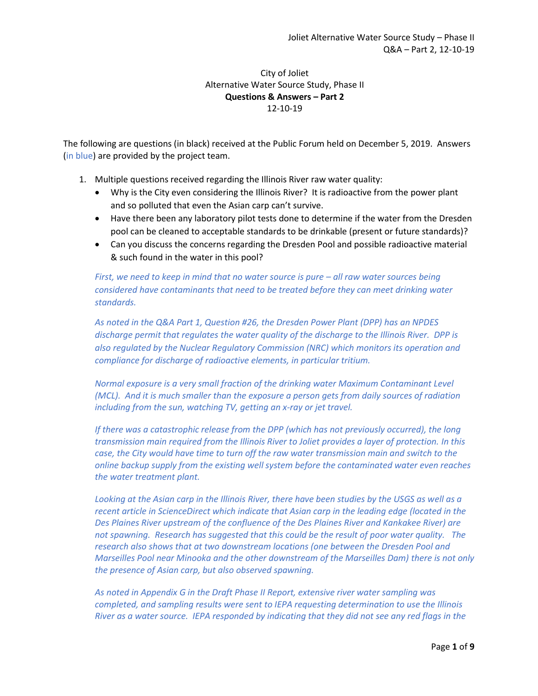### City of Joliet Alternative Water Source Study, Phase II **Questions & Answers – Part 2** 12-10-19

The following are questions (in black) received at the Public Forum held on December 5, 2019. Answers (in blue) are provided by the project team.

- 1. Multiple questions received regarding the Illinois River raw water quality:
	- Why is the City even considering the Illinois River? It is radioactive from the power plant and so polluted that even the Asian carp can't survive.
	- Have there been any laboratory pilot tests done to determine if the water from the Dresden pool can be cleaned to acceptable standards to be drinkable (present or future standards)?
	- Can you discuss the concerns regarding the Dresden Pool and possible radioactive material & such found in the water in this pool?

*First, we need to keep in mind that no water source is pure – all raw water sources being considered have contaminants that need to be treated before they can meet drinking water standards.* 

*As noted in the Q&A Part 1, Question #26, the Dresden Power Plant (DPP) has an NPDES discharge permit that regulates the water quality of the discharge to the Illinois River. DPP is also regulated by the Nuclear Regulatory Commission (NRC) which monitors its operation and compliance for discharge of radioactive elements, in particular tritium.*

*Normal exposure is a very small fraction of the drinking water Maximum Contaminant Level (MCL). And it is much smaller than the exposure a person gets from daily sources of radiation including from the sun, watching TV, getting an x-ray or jet travel.* 

*If there was a catastrophic release from the DPP (which has not previously occurred), the long transmission main required from the Illinois River to Joliet provides a layer of protection. In this case, the City would have time to turn off the raw water transmission main and switch to the online backup supply from the existing well system before the contaminated water even reaches the water treatment plant.* 

*Looking at the Asian carp in the Illinois River, there have been studies by the USGS as well as a recent article in ScienceDirect which indicate that Asian carp in the leading edge (located in the Des Plaines River upstream of the confluence of the Des Plaines River and Kankakee River) are not spawning. Research has suggested that this could be the result of poor water quality. The research also shows that at two downstream locations (one between the Dresden Pool and Marseilles Pool near Minooka and the other downstream of the Marseilles Dam) there is not only the presence of Asian carp, but also observed spawning.* 

*As noted in Appendix G in the Draft Phase II Report, extensive river water sampling was completed, and sampling results were sent to IEPA requesting determination to use the Illinois River as a water source. IEPA responded by indicating that they did not see any red flags in the*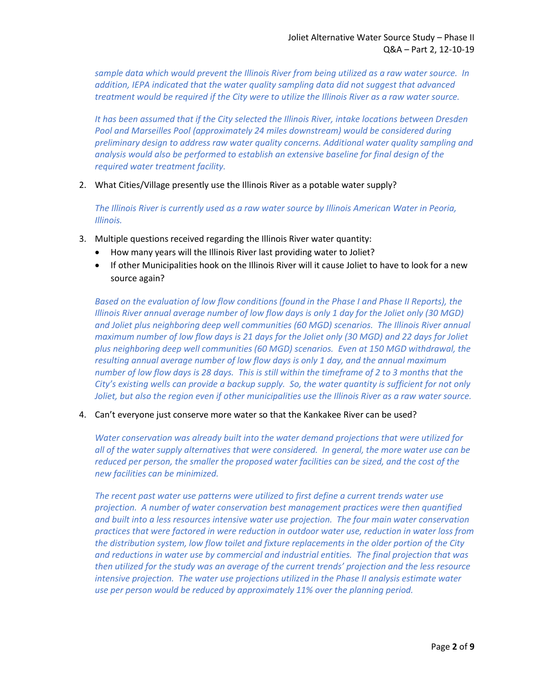*sample data which would prevent the Illinois River from being utilized as a raw water source. In addition, IEPA indicated that the water quality sampling data did not suggest that advanced treatment would be required if the City were to utilize the Illinois River as a raw water source.*

*It has been assumed that if the City selected the Illinois River, intake locations between Dresden Pool and Marseilles Pool (approximately 24 miles downstream) would be considered during preliminary design to address raw water quality concerns. Additional water quality sampling and analysis would also be performed to establish an extensive baseline for final design of the required water treatment facility.*

2. What Cities/Village presently use the Illinois River as a potable water supply?

*The Illinois River is currently used as a raw water source by Illinois American Water in Peoria, Illinois.*

- 3. Multiple questions received regarding the Illinois River water quantity:
	- How many years will the Illinois River last providing water to Joliet?
	- If other Municipalities hook on the Illinois River will it cause Joliet to have to look for a new source again?

*Based on the evaluation of low flow conditions (found in the Phase I and Phase II Reports), the Illinois River annual average number of low flow days is only 1 day for the Joliet only (30 MGD) and Joliet plus neighboring deep well communities (60 MGD) scenarios. The Illinois River annual maximum number of low flow days is 21 days for the Joliet only (30 MGD) and 22 days for Joliet plus neighboring deep well communities (60 MGD) scenarios. Even at 150 MGD withdrawal, the resulting annual average number of low flow days is only 1 day, and the annual maximum number of low flow days is 28 days. This is still within the timeframe of 2 to 3 months that the City's existing wells can provide a backup supply. So, the water quantity is sufficient for not only Joliet, but also the region even if other municipalities use the Illinois River as a raw water source.*

4. Can't everyone just conserve more water so that the Kankakee River can be used?

*Water conservation was already built into the water demand projections that were utilized for all of the water supply alternatives that were considered. In general, the more water use can be reduced per person, the smaller the proposed water facilities can be sized, and the cost of the new facilities can be minimized.* 

*The recent past water use patterns were utilized to first define a current trends water use projection. A number of water conservation best management practices were then quantified and built into a less resources intensive water use projection. The four main water conservation practices that were factored in were reduction in outdoor water use, reduction in water loss from the distribution system, low flow toilet and fixture replacements in the older portion of the City and reductions in water use by commercial and industrial entities. The final projection that was then utilized for the study was an average of the current trends' projection and the less resource intensive projection. The water use projections utilized in the Phase II analysis estimate water use per person would be reduced by approximately 11% over the planning period.*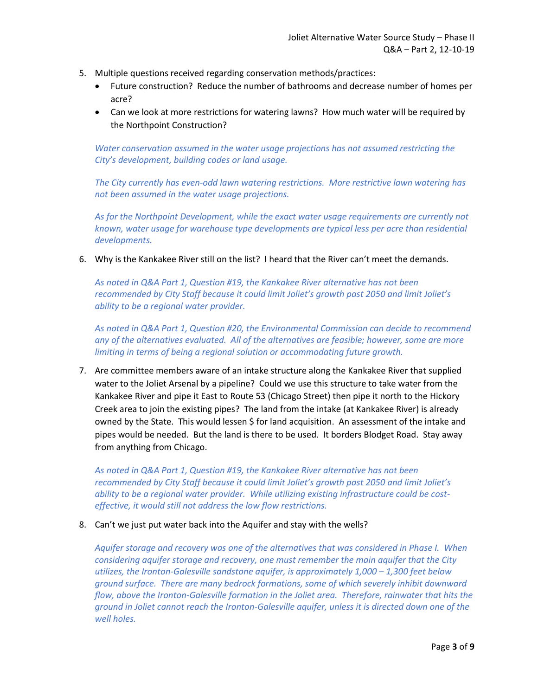- 5. Multiple questions received regarding conservation methods/practices:
	- Future construction? Reduce the number of bathrooms and decrease number of homes per acre?
	- Can we look at more restrictions for watering lawns? How much water will be required by the Northpoint Construction?

*Water conservation assumed in the water usage projections has not assumed restricting the City's development, building codes or land usage.*

*The City currently has even-odd lawn watering restrictions. More restrictive lawn watering has not been assumed in the water usage projections.*

*As for the Northpoint Development, while the exact water usage requirements are currently not known, water usage for warehouse type developments are typical less per acre than residential developments.*

6. Why is the Kankakee River still on the list? I heard that the River can't meet the demands.

*As noted in Q&A Part 1, Question #19, the Kankakee River alternative has not been recommended by City Staff because it could limit Joliet's growth past 2050 and limit Joliet's ability to be a regional water provider.*

*As noted in Q&A Part 1, Question #20, the Environmental Commission can decide to recommend any of the alternatives evaluated. All of the alternatives are feasible; however, some are more limiting in terms of being a regional solution or accommodating future growth.*

7. Are committee members aware of an intake structure along the Kankakee River that supplied water to the Joliet Arsenal by a pipeline? Could we use this structure to take water from the Kankakee River and pipe it East to Route 53 (Chicago Street) then pipe it north to the Hickory Creek area to join the existing pipes? The land from the intake (at Kankakee River) is already owned by the State. This would lessen \$ for land acquisition. An assessment of the intake and pipes would be needed. But the land is there to be used. It borders Blodget Road. Stay away from anything from Chicago.

*As noted in Q&A Part 1, Question #19, the Kankakee River alternative has not been recommended by City Staff because it could limit Joliet's growth past 2050 and limit Joliet's ability to be a regional water provider. While utilizing existing infrastructure could be costeffective, it would still not address the low flow restrictions.*

8. Can't we just put water back into the Aquifer and stay with the wells?

*Aquifer storage and recovery was one of the alternatives that was considered in Phase I. When considering aquifer storage and recovery, one must remember the main aquifer that the City utilizes, the Ironton-Galesville sandstone aquifer, is approximately 1,000 – 1,300 feet below ground surface. There are many bedrock formations, some of which severely inhibit downward flow, above the Ironton-Galesville formation in the Joliet area. Therefore, rainwater that hits the ground in Joliet cannot reach the Ironton-Galesville aquifer, unless it is directed down one of the well holes.*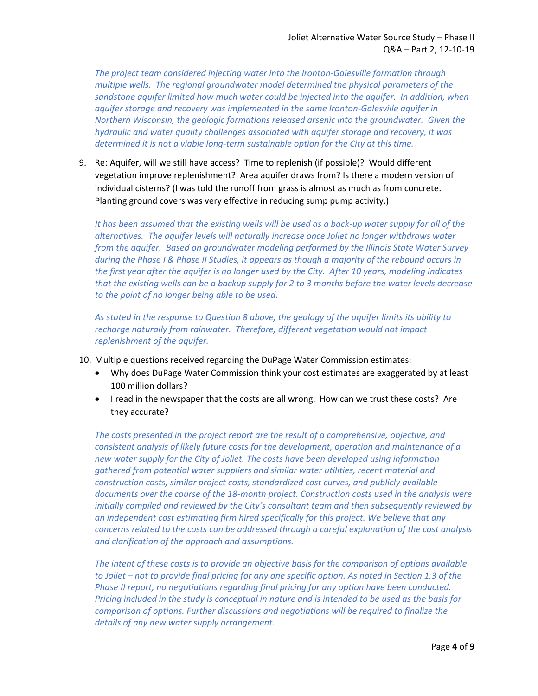*The project team considered injecting water into the Ironton-Galesville formation through multiple wells. The regional groundwater model determined the physical parameters of the sandstone aquifer limited how much water could be injected into the aquifer. In addition, when aquifer storage and recovery was implemented in the same Ironton-Galesville aquifer in Northern Wisconsin, the geologic formations released arsenic into the groundwater. Given the hydraulic and water quality challenges associated with aquifer storage and recovery, it was determined it is not a viable long-term sustainable option for the City at this time.*

9. Re: Aquifer, will we still have access? Time to replenish (if possible)? Would different vegetation improve replenishment? Area aquifer draws from? Is there a modern version of individual cisterns? (I was told the runoff from grass is almost as much as from concrete. Planting ground covers was very effective in reducing sump pump activity.)

*It has been assumed that the existing wells will be used as a back-up water supply for all of the alternatives. The aquifer levels will naturally increase once Joliet no longer withdraws water from the aquifer. Based on groundwater modeling performed by the Illinois State Water Survey during the Phase I & Phase II Studies, it appears as though a majority of the rebound occurs in the first year after the aquifer is no longer used by the City. After 10 years, modeling indicates that the existing wells can be a backup supply for 2 to 3 months before the water levels decrease to the point of no longer being able to be used.*

*As stated in the response to Question 8 above, the geology of the aquifer limits its ability to recharge naturally from rainwater. Therefore, different vegetation would not impact replenishment of the aquifer.*

- 10. Multiple questions received regarding the DuPage Water Commission estimates:
	- Why does DuPage Water Commission think your cost estimates are exaggerated by at least 100 million dollars?
	- I read in the newspaper that the costs are all wrong. How can we trust these costs? Are they accurate?

*The costs presented in the project report are the result of a comprehensive, objective, and consistent analysis of likely future costs for the development, operation and maintenance of a new water supply for the City of Joliet. The costs have been developed using information gathered from potential water suppliers and similar water utilities, recent material and construction costs, similar project costs, standardized cost curves, and publicly available documents over the course of the 18-month project. Construction costs used in the analysis were initially compiled and reviewed by the City's consultant team and then subsequently reviewed by an independent cost estimating firm hired specifically for this project. We believe that any concerns related to the costs can be addressed through a careful explanation of the cost analysis and clarification of the approach and assumptions.*

*The intent of these costs is to provide an objective basis for the comparison of options available to Joliet – not to provide final pricing for any one specific option. As noted in Section 1.3 of the Phase II report, no negotiations regarding final pricing for any option have been conducted. Pricing included in the study is conceptual in nature and is intended to be used as the basis for comparison of options. Further discussions and negotiations will be required to finalize the details of any new water supply arrangement.*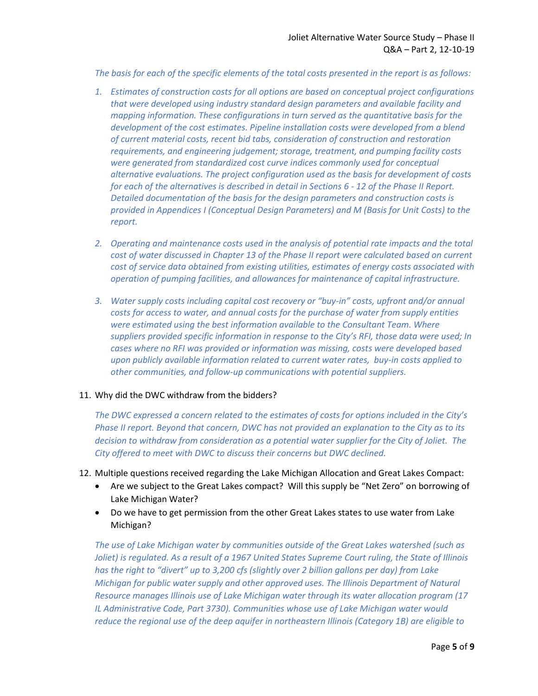*The basis for each of the specific elements of the total costs presented in the report is as follows:*

- *1. Estimates of construction costs for all options are based on conceptual project configurations that were developed using industry standard design parameters and available facility and mapping information. These configurations in turn served as the quantitative basis for the development of the cost estimates. Pipeline installation costs were developed from a blend of current material costs, recent bid tabs, consideration of construction and restoration requirements, and engineering judgement; storage, treatment, and pumping facility costs were generated from standardized cost curve indices commonly used for conceptual alternative evaluations. The project configuration used as the basis for development of costs for each of the alternatives is described in detail in Sections 6 - 12 of the Phase II Report. Detailed documentation of the basis for the design parameters and construction costs is provided in Appendices I (Conceptual Design Parameters) and M (Basis for Unit Costs) to the report.*
- *2. Operating and maintenance costs used in the analysis of potential rate impacts and the total cost of water discussed in Chapter 13 of the Phase II report were calculated based on current cost of service data obtained from existing utilities, estimates of energy costs associated with operation of pumping facilities, and allowances for maintenance of capital infrastructure.*
- *3. Water supply costs including capital cost recovery or "buy-in" costs, upfront and/or annual costs for access to water, and annual costs for the purchase of water from supply entities were estimated using the best information available to the Consultant Team. Where suppliers provided specific information in response to the City's RFI, those data were used; In cases where no RFI was provided or information was missing, costs were developed based upon publicly available information related to current water rates, buy-in costs applied to other communities, and follow-up communications with potential suppliers.*

#### 11. Why did the DWC withdraw from the bidders?

*The DWC expressed a concern related to the estimates of costs for options included in the City's Phase II report. Beyond that concern, DWC has not provided an explanation to the City as to its decision to withdraw from consideration as a potential water supplier for the City of Joliet. The City offered to meet with DWC to discuss their concerns but DWC declined.*

### 12. Multiple questions received regarding the Lake Michigan Allocation and Great Lakes Compact:

- Are we subject to the Great Lakes compact? Will this supply be "Net Zero" on borrowing of Lake Michigan Water?
- Do we have to get permission from the other Great Lakes states to use water from Lake Michigan?

*The use of Lake Michigan water by communities outside of the Great Lakes watershed (such as Joliet) is regulated. As a result of a 1967 United States Supreme Court ruling, the State of Illinois has the right to "divert" up to 3,200 cfs (slightly over 2 billion gallons per day) from Lake Michigan for public water supply and other approved uses. The Illinois Department of Natural Resource manages Illinois use of Lake Michigan water through its water allocation program (17 IL Administrative Code, Part 3730). Communities whose use of Lake Michigan water would reduce the regional use of the deep aquifer in northeastern Illinois (Category 1B) are eligible to*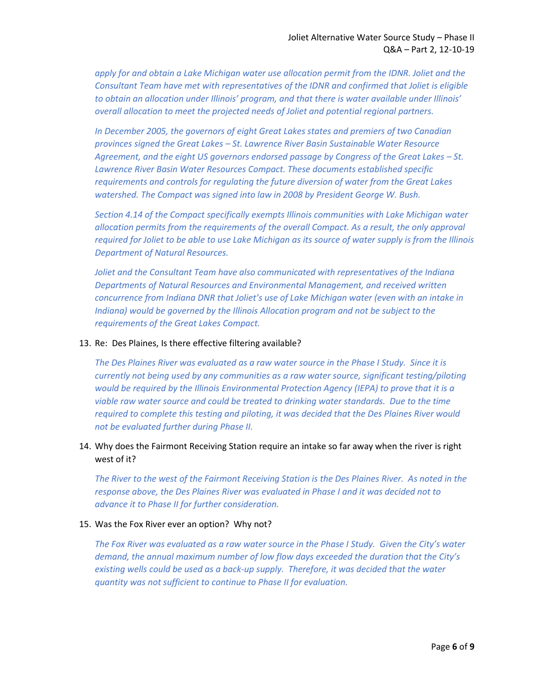apply for and obtain a Lake Michigan water use allocation permit from the IDNR. Joliet and the *Consultant Team have met with representatives of the IDNR and confirmed that Joliet is eligible to obtain an allocation under Illinois' program, and that there is water available under Illinois' overall allocation to meet the projected needs of Joliet and potential regional partners.*

*In December 2005, the governors of eight Great Lakes states and premiers of two Canadian provinces signed the Great Lakes – St. Lawrence River Basin Sustainable Water Resource*  Agreement, and the eight US governors endorsed passage by Congress of the Great Lakes – St. *Lawrence River Basin Water Resources Compact. These documents established specific requirements and controls for regulating the future diversion of water from the Great Lakes watershed. The Compact was signed into law in 2008 by President George W. Bush.*

*Section 4.14 of the Compact specifically exempts Illinois communities with Lake Michigan water allocation permits from the requirements of the overall Compact. As a result, the only approval required for Joliet to be able to use Lake Michigan as its source of water supply is from the Illinois Department of Natural Resources.*

*Joliet and the Consultant Team have also communicated with representatives of the Indiana Departments of Natural Resources and Environmental Management, and received written concurrence from Indiana DNR that Joliet's use of Lake Michigan water (even with an intake in Indiana)* would be governed by the Illinois Allocation program and not be subject to the *requirements of the Great Lakes Compact.*

#### 13. Re: Des Plaines, Is there effective filtering available?

*The Des Plaines River was evaluated as a raw water source in the Phase I Study. Since it is currently not being used by any communities as a raw water source, significant testing/piloting would be required by the Illinois Environmental Protection Agency (IEPA) to prove that it is a viable raw water source and could be treated to drinking water standards. Due to the time required to complete this testing and piloting, it was decided that the Des Plaines River would not be evaluated further during Phase II.* 

### 14. Why does the Fairmont Receiving Station require an intake so far away when the river is right west of it?

*The River to the west of the Fairmont Receiving Station is the Des Plaines River. As noted in the response above, the Des Plaines River was evaluated in Phase I and it was decided not to advance it to Phase II for further consideration.*

#### 15. Was the Fox River ever an option? Why not?

*The Fox River was evaluated as a raw water source in the Phase I Study. Given the City's water demand, the annual maximum number of low flow days exceeded the duration that the City's existing wells could be used as a back-up supply. Therefore, it was decided that the water quantity was not sufficient to continue to Phase II for evaluation.*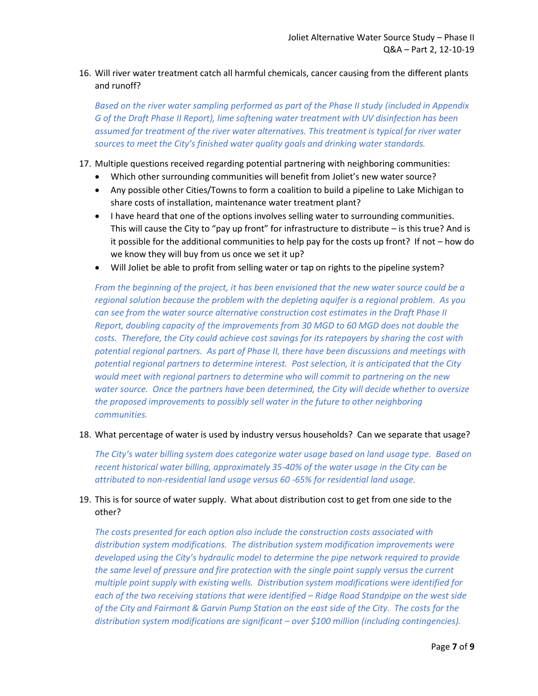# 16. Will river water treatment catch all harmful chemicals, cancer causing from the different plants and runoff?

*Based on the river water sampling performed as part of the Phase II study (included in Appendix G of the Draft Phase II Report), lime softening water treatment with UV disinfection has been assumed for treatment of the river water alternatives. This treatment is typical for river water sources to meet the City's finished water quality goals and drinking water standards.*

- 17. Multiple questions received regarding potential partnering with neighboring communities:
	- Which other surrounding communities will benefit from Joliet's new water source?
	- Any possible other Cities/Towns to form a coalition to build a pipeline to Lake Michigan to share costs of installation, maintenance water treatment plant?
	- I have heard that one of the options involves selling water to surrounding communities. This will cause the City to "pay up front" for infrastructure to distribute  $-$  is this true? And is it possible for the additional communities to help pay for the costs up front? If not – how do we know they will buy from us once we set it up?
	- Will Joliet be able to profit from selling water or tap on rights to the pipeline system?

*From the beginning of the project, it has been envisioned that the new water source could be a regional solution because the problem with the depleting aquifer is a regional problem. As you can see from the water source alternative construction cost estimates in the Draft Phase II Report, doubling capacity of the improvements from 30 MGD to 60 MGD does not double the costs. Therefore, the City could achieve cost savings for its ratepayers by sharing the cost with potential regional partners. As part of Phase II, there have been discussions and meetings with potential regional partners to determine interest. Post selection, it is anticipated that the City would meet with regional partners to determine who will commit to partnering on the new water source. Once the partners have been determined, the City will decide whether to oversize the proposed improvements to possibly sell water in the future to other neighboring communities.*

### 18. What percentage of water is used by industry versus households? Can we separate that usage?

*The City's water billing system does categorize water usage based on land usage type. Based on recent historical water billing, approximately 35-40% of the water usage in the City can be attributed to non-residential land usage versus 60 -65% for residential land usage.*

## 19. This is for source of water supply. What about distribution cost to get from one side to the other?

*The costs presented for each option also include the construction costs associated with distribution system modifications. The distribution system modification improvements were developed using the City's hydraulic model to determine the pipe network required to provide the same level of pressure and fire protection with the single point supply versus the current multiple point supply with existing wells. Distribution system modifications were identified for each of the two receiving stations that were identified – Ridge Road Standpipe on the west side of the City and Fairmont & Garvin Pump Station on the east side of the City. The costs for the distribution system modifications are significant – over \$100 million (including contingencies).*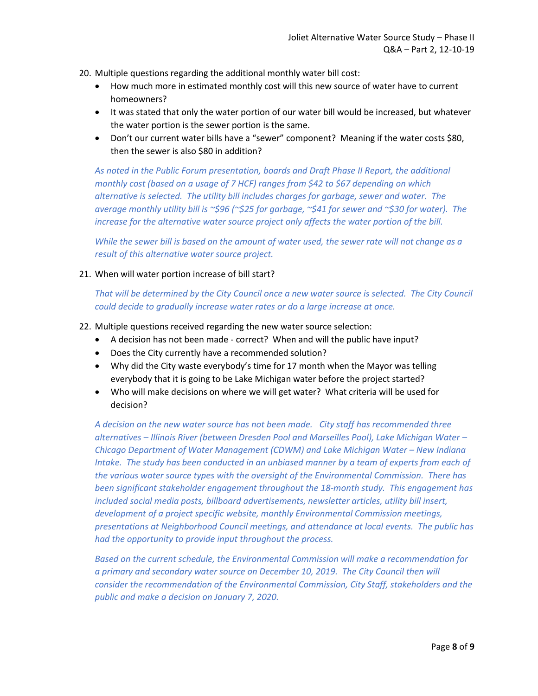- 20. Multiple questions regarding the additional monthly water bill cost:
	- How much more in estimated monthly cost will this new source of water have to current homeowners?
	- It was stated that only the water portion of our water bill would be increased, but whatever the water portion is the sewer portion is the same.
	- Don't our current water bills have a "sewer" component? Meaning if the water costs \$80, then the sewer is also \$80 in addition?

*As noted in the Public Forum presentation, boards and Draft Phase II Report, the additional monthly cost (based on a usage of 7 HCF) ranges from \$42 to \$67 depending on which alternative is selected. The utility bill includes charges for garbage, sewer and water. The average monthly utility bill is ~\$96 (~\$25 for garbage, ~\$41 for sewer and ~\$30 for water). The increase for the alternative water source project only affects the water portion of the bill.* 

*While the sewer bill is based on the amount of water used, the sewer rate will not change as a result of this alternative water source project.*

21. When will water portion increase of bill start?

*That will be determined by the City Council once a new water source is selected. The City Council could decide to gradually increase water rates or do a large increase at once.*

- 22. Multiple questions received regarding the new water source selection:
	- A decision has not been made correct? When and will the public have input?
	- Does the City currently have a recommended solution?
	- Why did the City waste everybody's time for 17 month when the Mayor was telling everybody that it is going to be Lake Michigan water before the project started?
	- Who will make decisions on where we will get water? What criteria will be used for decision?

*A decision on the new water source has not been made. City staff has recommended three alternatives – Illinois River (between Dresden Pool and Marseilles Pool), Lake Michigan Water – Chicago Department of Water Management (CDWM) and Lake Michigan Water – New Indiana Intake. The study has been conducted in an unbiased manner by a team of experts from each of the various water source types with the oversight of the Environmental Commission. There has been significant stakeholder engagement throughout the 18-month study. This engagement has included social media posts, billboard advertisements, newsletter articles, utility bill insert, development of a project specific website, monthly Environmental Commission meetings, presentations at Neighborhood Council meetings, and attendance at local events. The public has had the opportunity to provide input throughout the process.*

*Based on the current schedule, the Environmental Commission will make a recommendation for a primary and secondary water source on December 10, 2019. The City Council then will consider the recommendation of the Environmental Commission, City Staff, stakeholders and the public and make a decision on January 7, 2020.*